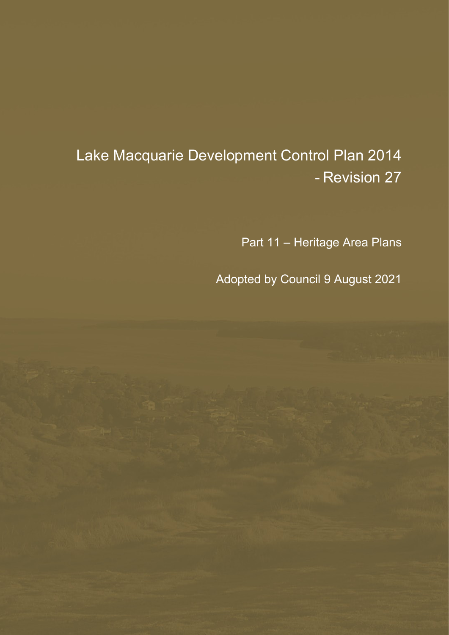# Lake Macquarie Development Control Plan 2014 - Revision 27

Part 11 – Heritage Area Plans

Adopted by Council 9 August 2021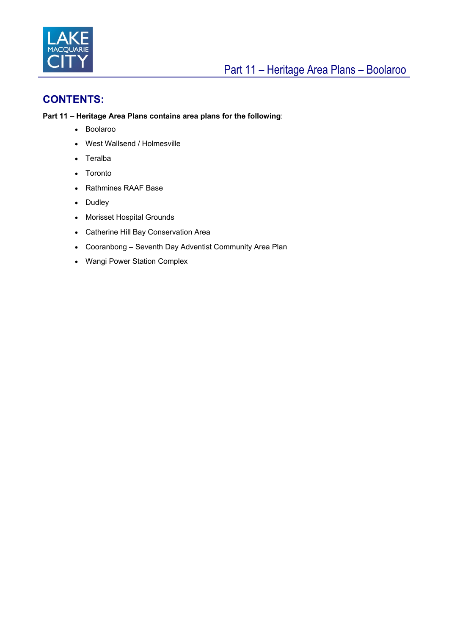

## **CONTENTS:**

#### **Part 11 – Heritage Area Plans contains area plans for the following**:

- Boolaroo
- West Wallsend / Holmesville
- Teralba
- Toronto
- Rathmines RAAF Base
- Dudley
- Morisset Hospital Grounds
- Catherine Hill Bay Conservation Area
- Cooranbong Seventh Day Adventist Community Area Plan
- Wangi Power Station Complex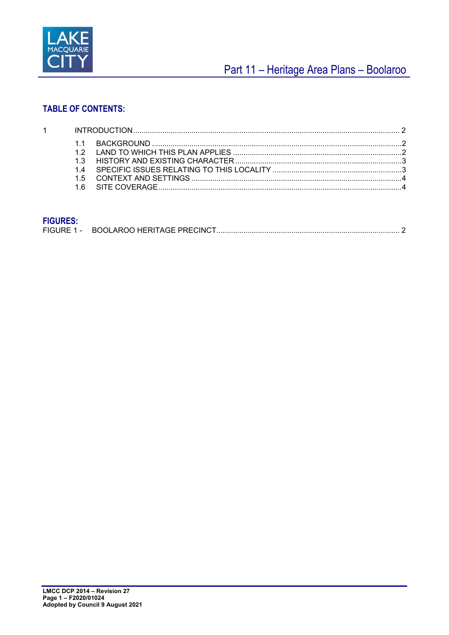

## Part 11 - Heritage Area Plans - Boolaroo

## **TABLE OF CONTENTS:**

| 1 <sup>1</sup> |  |  |  |
|----------------|--|--|--|
|                |  |  |  |
|                |  |  |  |
|                |  |  |  |
|                |  |  |  |
|                |  |  |  |
|                |  |  |  |

## **FIGURES:**

| . |  |
|---|--|
|   |  |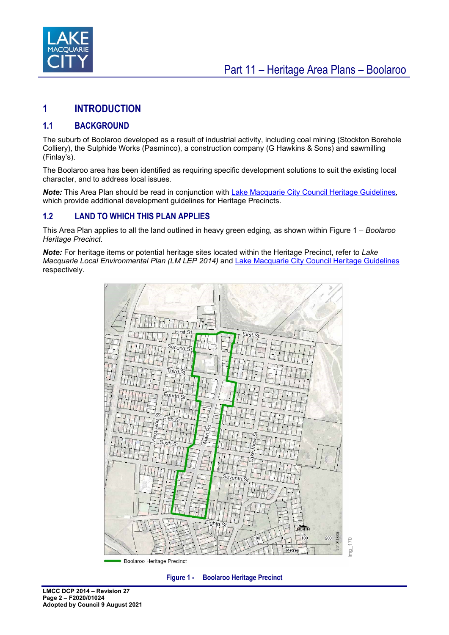

## <span id="page-3-0"></span>**1 INTRODUCTION**

## <span id="page-3-1"></span>**1.1 BACKGROUND**

The suburb of Boolaroo developed as a result of industrial activity, including coal mining (Stockton Borehole Colliery), the Sulphide Works (Pasminco), a construction company (G Hawkins & Sons) and sawmilling (Finlay's).

The Boolaroo area has been identified as requiring specific development solutions to suit the existing local character, and to address local issues.

*Note:* This Area Plan should be read in conjunction with [Lake Macquarie City Council Heritage Guidelines](https://www.lakemac.com.au/Development/Planning-controls/Local-Planning-Controls#section-5)*,*  which provide additional development guidelines for Heritage Precincts.

## <span id="page-3-2"></span>**1.2 LAND TO WHICH THIS PLAN APPLIES**

This Area Plan applies to all the land outlined in heavy green edging, as shown within Figure 1 *– Boolaroo Heritage Precinct.* 

*Note:* For heritage items or potential heritage sites located within the Heritage Precinct, refer to *Lake Macquarie Local Environmental Plan (LM LEP 2014)* and Lake [Macquarie City Council Heritage Guidelines](https://www.lakemac.com.au/Development/Planning-controls/Local-Planning-Controls#section-5) respectively.



<span id="page-3-3"></span>**Figure 1 - Boolaroo Heritage Precinct**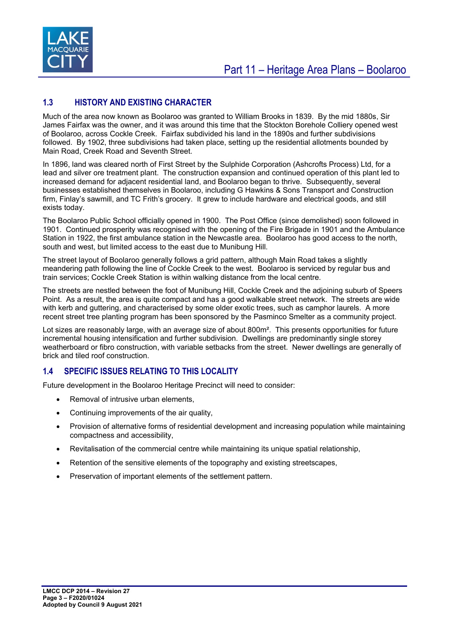

## <span id="page-4-0"></span>**1.3 HISTORY AND EXISTING CHARACTER**

Much of the area now known as Boolaroo was granted to William Brooks in 1839. By the mid 1880s, Sir James Fairfax was the owner, and it was around this time that the Stockton Borehole Colliery opened west of Boolaroo, across Cockle Creek. Fairfax subdivided his land in the 1890s and further subdivisions followed. By 1902, three subdivisions had taken place, setting up the residential allotments bounded by Main Road, Creek Road and Seventh Street.

In 1896, land was cleared north of First Street by the Sulphide Corporation (Ashcrofts Process) Ltd, for a lead and silver ore treatment plant. The construction expansion and continued operation of this plant led to increased demand for adjacent residential land, and Boolaroo began to thrive. Subsequently, several businesses established themselves in Boolaroo, including G Hawkins & Sons Transport and Construction firm, Finlay's sawmill, and TC Frith's grocery. It grew to include hardware and electrical goods, and still exists today.

The Boolaroo Public School officially opened in 1900. The Post Office (since demolished) soon followed in 1901. Continued prosperity was recognised with the opening of the Fire Brigade in 1901 and the Ambulance Station in 1922, the first ambulance station in the Newcastle area. Boolaroo has good access to the north, south and west, but limited access to the east due to Munibung Hill.

The street layout of Boolaroo generally follows a grid pattern, although Main Road takes a slightly meandering path following the line of Cockle Creek to the west. Boolaroo is serviced by regular bus and train services; Cockle Creek Station is within walking distance from the local centre.

The streets are nestled between the foot of Munibung Hill, Cockle Creek and the adjoining suburb of Speers Point. As a result, the area is quite compact and has a good walkable street network. The streets are wide with kerb and guttering, and characterised by some older exotic trees, such as camphor laurels. A more recent street tree planting program has been sponsored by the Pasminco Smelter as a community project.

Lot sizes are reasonably large, with an average size of about 800m². This presents opportunities for future incremental housing intensification and further subdivision. Dwellings are predominantly single storey weatherboard or fibro construction, with variable setbacks from the street. Newer dwellings are generally of brick and tiled roof construction.

## <span id="page-4-1"></span>**1.4 SPECIFIC ISSUES RELATING TO THIS LOCALITY**

Future development in the Boolaroo Heritage Precinct will need to consider:

- Removal of intrusive urban elements,
- Continuing improvements of the air quality,
- Provision of alternative forms of residential development and increasing population while maintaining compactness and accessibility,
- Revitalisation of the commercial centre while maintaining its unique spatial relationship,
- Retention of the sensitive elements of the topography and existing streetscapes,
- Preservation of important elements of the settlement pattern.